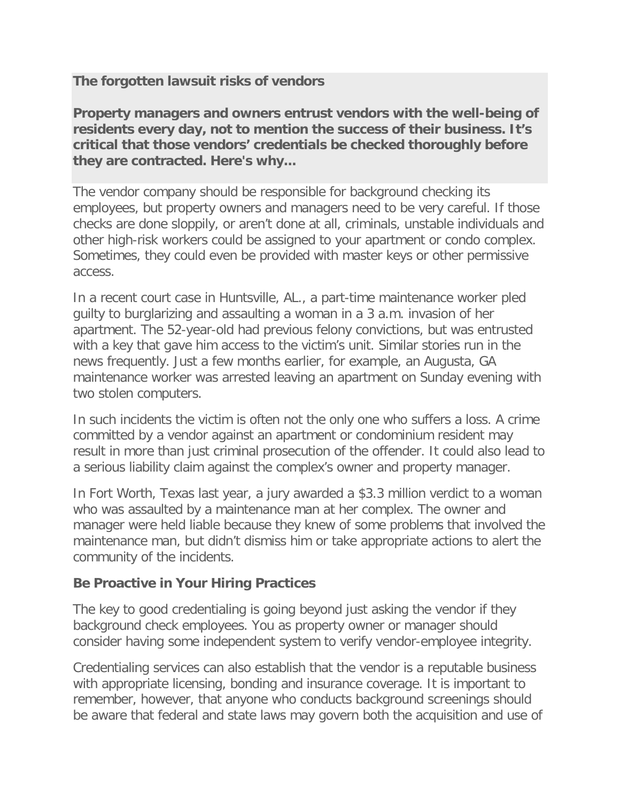**The forgotten lawsuit risks of vendors**

**Property managers and owners entrust vendors with the well-being of residents every day, not to mention the success of their business. It's critical that those vendors' credentials be checked thoroughly before they are contracted. Here's why...**

The vendor company should be responsible for background checking its employees, but property owners and managers need to be very careful. If those checks are done sloppily, or aren't done at all, criminals, unstable individuals and other high-risk workers could be assigned to your apartment or condo complex. Sometimes, they could even be provided with master keys or other permissive access.

In a recent court case in Huntsville, AL., a part-time maintenance worker pled guilty to burglarizing and assaulting a woman in a 3 a.m. invasion of her apartment. The 52-year-old had previous felony convictions, but was entrusted with a key that gave him access to the victim's unit. Similar stories run in the news frequently. Just a few months earlier, for example, an Augusta, GA maintenance worker was arrested leaving an apartment on Sunday evening with two stolen computers.

In such incidents the victim is often not the only one who suffers a loss. A crime committed by a vendor against an apartment or condominium resident may result in more than just criminal prosecution of the offender. It could also lead to a serious liability claim against the complex's owner and property manager.

In Fort Worth, Texas last year, a jury awarded a \$3.3 million verdict to a woman who was assaulted by a maintenance man at her complex. The owner and manager were held liable because they knew of some problems that involved the maintenance man, but didn't dismiss him or take appropriate actions to alert the community of the incidents.

## **Be Proactive in Your Hiring Practices**

The key to good credentialing is going beyond just asking the vendor if they background check employees. You as property owner or manager should consider having some independent system to verify vendor-employee integrity.

Credentialing services can also establish that the vendor is a reputable business with appropriate licensing, bonding and insurance coverage. It is important to remember, however, that anyone who conducts background screenings should be aware that federal and state laws may govern both the acquisition and use of